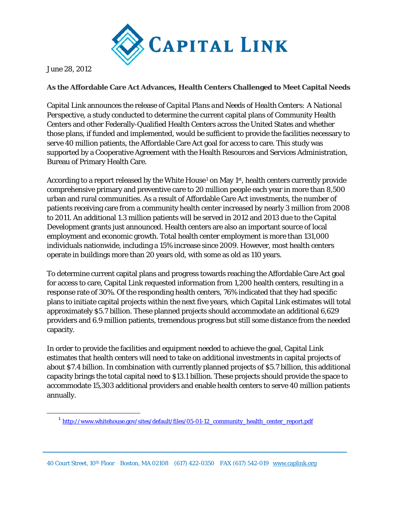

June 28, 2012

## **As the Affordable Care Act Advances, Health Centers Challenged to Meet Capital Needs**

Capital Link announces the release of *Capital Plans and Needs of Health Centers: A National Perspective*, a study conducted to determine the current capital plans of Community Health Centers and other Federally-Qualified Health Centers across the United States and whether those plans, if funded and implemented, would be sufficient to provide the facilities necessary to serve 40 million patients, the Affordable Care Act goal for access to care. This study was supported by a Cooperative Agreement with the Health Resources and Services Administration, Bureau of Primary Health Care.

According to a report released by the White House<sup>[1](#page-0-0)</sup> on May  $1<sup>st</sup>$ , health centers currently provide comprehensive primary and preventive care to 20 million people each year in more than 8,500 urban and rural communities. As a result of Affordable Care Act investments, the number of patients receiving care from a community health center increased by nearly 3 million from 2008 to 2011. An additional 1.3 million patients will be served in 2012 and 2013 due to the Capital Development grants just announced. Health centers are also an important source of local employment and economic growth. Total health center employment is more than 131,000 individuals nationwide, including a 15% increase since 2009. However, most health centers operate in buildings more than 20 years old, with some as old as 110 years.

To determine current capital plans and progress towards reaching the Affordable Care Act goal for access to care, Capital Link requested information from 1,200 health centers, resulting in a response rate of 30%. Of the responding health centers, 76% indicated that they had specific plans to initiate capital projects within the next five years, which Capital Link estimates will total approximately \$5.7 billion. These planned projects should accommodate an additional 6,629 providers and 6.9 million patients, tremendous progress but still some distance from the needed capacity.

In order to provide the facilities and equipment needed to achieve the goal, Capital Link estimates that health centers will need to take on additional investments in capital projects of about \$7.4 billion. In combination with currently planned projects of \$5.7 billion, this additional capacity brings the total capital need to \$13.1 billion. These projects should provide the space to accommodate 15,303 additional providers and enable health centers to serve 40 million patients annually.

40 Court Street, 10th Floor Boston, MA 02108 (617) 422-0350 FAX (617) 542-019 [www.caplink.org](http://www.caplink.org/) 

<span id="page-0-0"></span><sup>&</sup>lt;sup>1</sup> [http://www.whitehouse.gov/sites/default/files/05-01-12\\_community\\_health\\_center\\_report.pdf](http://www.whitehouse.gov/sites/default/files/05-01-12_community_health_center_report.pdf)